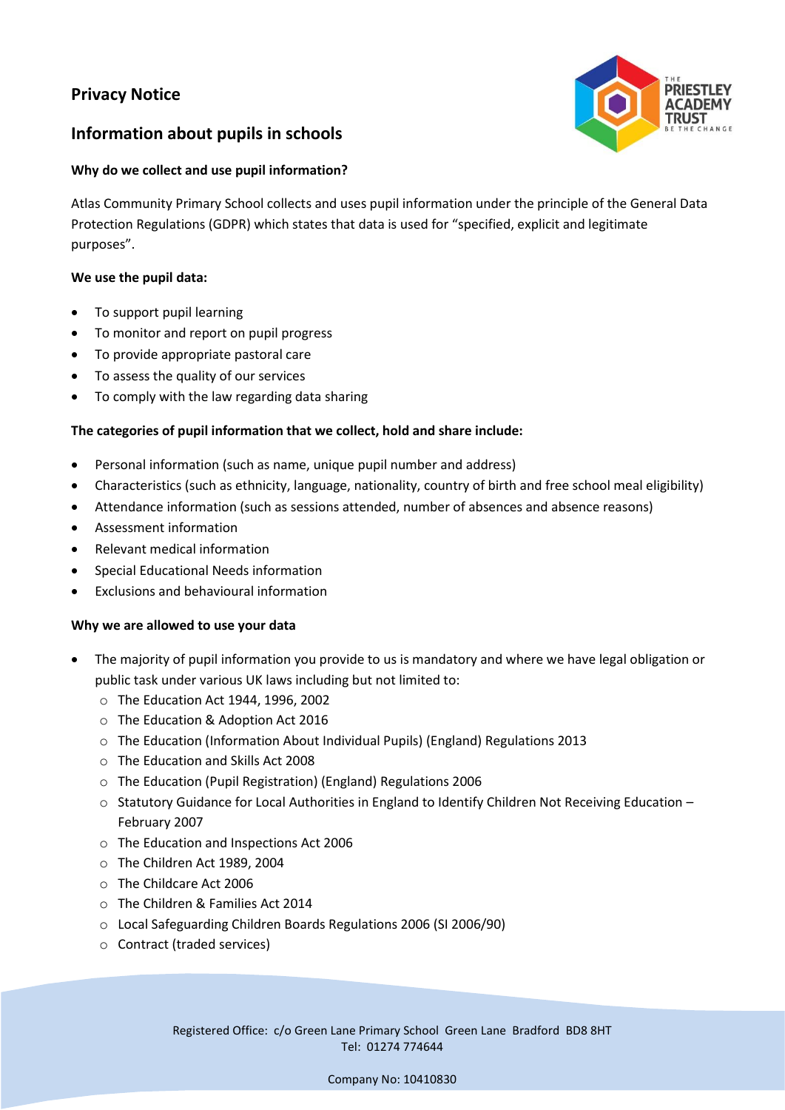# **Privacy Notice**



## **Information about pupils in schools**

## **Why do we collect and use pupil information?**

Atlas Community Primary School collects and uses pupil information under the principle of the General Data Protection Regulations (GDPR) which states that data is used for "specified, explicit and legitimate purposes".

## **We use the pupil data:**

- To support pupil learning
- To monitor and report on pupil progress
- To provide appropriate pastoral care
- To assess the quality of our services
- To comply with the law regarding data sharing

## **The categories of pupil information that we collect, hold and share include:**

- Personal information (such as name, unique pupil number and address)
- Characteristics (such as ethnicity, language, nationality, country of birth and free school meal eligibility)
- Attendance information (such as sessions attended, number of absences and absence reasons)
- Assessment information
- Relevant medical information
- Special Educational Needs information
- Exclusions and behavioural information

## **Why we are allowed to use your data**

- The majority of pupil information you provide to us is mandatory and where we have legal obligation or public task under various UK laws including but not limited to:
	- o The Education Act 1944, 1996, 2002
	- o The Education & Adoption Act 2016
	- $\circ$  The Education (Information About Individual Pupils) (England) Regulations 2013
	- o The Education and Skills Act 2008
	- o The Education (Pupil Registration) (England) Regulations 2006
	- $\circ$  Statutory Guidance for Local Authorities in England to Identify Children Not Receiving Education February 2007
	- o The Education and Inspections Act 2006
	- o The Children Act 1989, 2004
	- o The Childcare Act 2006
	- o The Children & Families Act 2014
	- o Local Safeguarding Children Boards Regulations 2006 (SI 2006/90)
	- o Contract (traded services)

Registered Office: c/o Green Lane Primary School Green Lane Bradford BD8 8HT Tel: 01274 774644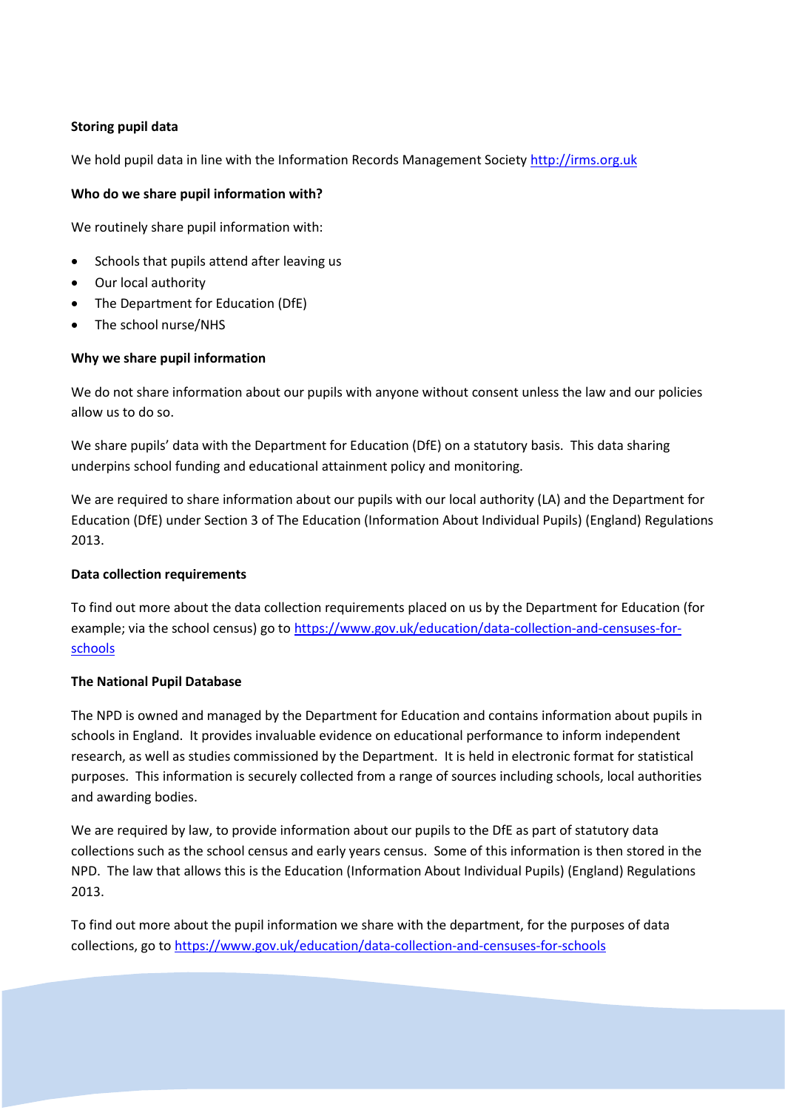#### **Storing pupil data**

We hold pupil data in line with the Information Records Management Society [http://irms.org.uk](http://irms.org.uk/)

#### **Who do we share pupil information with?**

We routinely share pupil information with:

- Schools that pupils attend after leaving us
- Our local authority
- The Department for Education (DfE)
- The school nurse/NHS

#### **Why we share pupil information**

We do not share information about our pupils with anyone without consent unless the law and our policies allow us to do so.

We share pupils' data with the Department for Education (DfE) on a statutory basis. This data sharing underpins school funding and educational attainment policy and monitoring.

We are required to share information about our pupils with our local authority (LA) and the Department for Education (DfE) under Section 3 of The Education (Information About Individual Pupils) (England) Regulations 2013.

#### **Data collection requirements**

To find out more about the data collection requirements placed on us by the Department for Education (for example; via the school census) go to [https://www.gov.uk/education/data-collection-and-censuses-for](https://www.gov.uk/education/data-collection-and-censuses-for-schools)[schools](https://www.gov.uk/education/data-collection-and-censuses-for-schools)

## **The National Pupil Database**

The NPD is owned and managed by the Department for Education and contains information about pupils in schools in England. It provides invaluable evidence on educational performance to inform independent research, as well as studies commissioned by the Department. It is held in electronic format for statistical purposes. This information is securely collected from a range of sources including schools, local authorities and awarding bodies.

We are required by law, to provide information about our pupils to the DfE as part of statutory data collections such as the school census and early years census. Some of this information is then stored in the NPD. The law that allows this is the Education (Information About Individual Pupils) (England) Regulations 2013.

To find out more about the pupil information we share with the department, for the purposes of data collections, go to<https://www.gov.uk/education/data-collection-and-censuses-for-schools>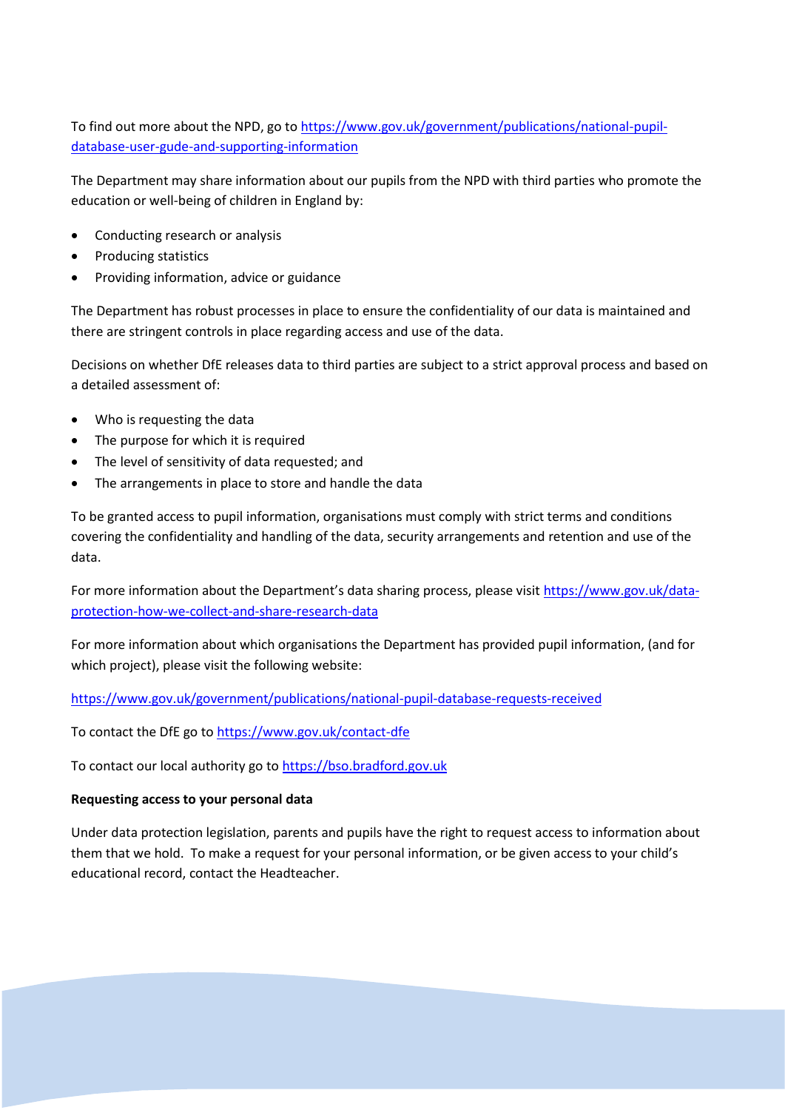To find out more about the NPD, go to [https://www.gov.uk/government/publications/national-pupil](https://www.gov.uk/government/publications/national-pupil-database-user-gude-and-supporting-information)[database-user-gude-and-supporting-information](https://www.gov.uk/government/publications/national-pupil-database-user-gude-and-supporting-information)

The Department may share information about our pupils from the NPD with third parties who promote the education or well-being of children in England by:

- Conducting research or analysis
- Producing statistics
- Providing information, advice or guidance

The Department has robust processes in place to ensure the confidentiality of our data is maintained and there are stringent controls in place regarding access and use of the data.

Decisions on whether DfE releases data to third parties are subject to a strict approval process and based on a detailed assessment of:

- Who is requesting the data
- The purpose for which it is required
- The level of sensitivity of data requested; and
- The arrangements in place to store and handle the data

To be granted access to pupil information, organisations must comply with strict terms and conditions covering the confidentiality and handling of the data, security arrangements and retention and use of the data.

For more information about the Department's data sharing process, please visit [https://www.gov.uk/data](https://www.gov.uk/data-protection-how-we-collect-and-share-research-data)[protection-how-we-collect-and-share-research-data](https://www.gov.uk/data-protection-how-we-collect-and-share-research-data)

For more information about which organisations the Department has provided pupil information, (and for which project), please visit the following website:

<https://www.gov.uk/government/publications/national-pupil-database-requests-received>

To contact the DfE go t[o https://www.gov.uk/contact-dfe](https://www.gov.uk/contact-dfe)

To contact our local authority go to [https://bso.bradford.gov.uk](https://bso.bradford.gov.uk/)

#### **Requesting access to your personal data**

Under data protection legislation, parents and pupils have the right to request access to information about them that we hold. To make a request for your personal information, or be given access to your child's educational record, contact the Headteacher.